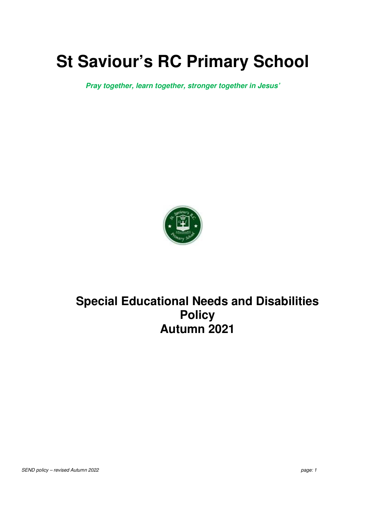# **St Saviour's RC Primary School**

**Pray together, learn together, stronger together in Jesus'** 



## **Special Educational Needs and Disabilities Policy Autumn 2021**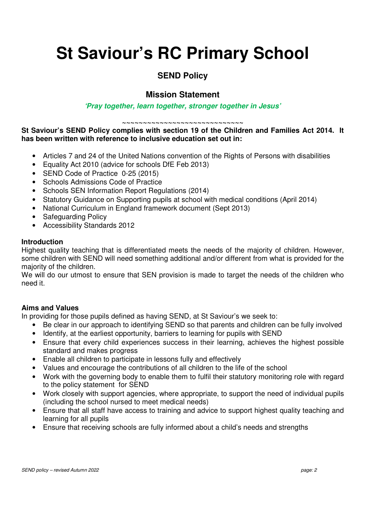# **St Saviour's RC Primary School**

### **SEND Policy**

### **Mission Statement**

#### **'Pray together, learn together, stronger together in Jesus'**

**~~~~~~~~~~~~~~~~~~~~~~~~~~~~~** 

**St Saviour's SEND Policy complies with section 19 of the Children and Families Act 2014. It has been written with reference to inclusive education set out in:** 

- Articles 7 and 24 of the United Nations convention of the Rights of Persons with disabilities
- Equality Act 2010 (advice for schools DfE Feb 2013)
- SEND Code of Practice 0-25 (2015)
- Schools Admissions Code of Practice
- Schools SEN Information Report Regulations (2014)
- Statutory Guidance on Supporting pupils at school with medical conditions (April 2014)
- National Curriculum in England framework document (Sept 2013)
- Safeguarding Policy
- Accessibility Standards 2012

#### **Introduction**

Highest quality teaching that is differentiated meets the needs of the majority of children. However, some children with SEND will need something additional and/or different from what is provided for the majority of the children.

We will do our utmost to ensure that SEN provision is made to target the needs of the children who need it.

#### **Aims and Values**

In providing for those pupils defined as having SEND, at St Saviour's we seek to:

- Be clear in our approach to identifying SEND so that parents and children can be fully involved
- Identify, at the earliest opportunity, barriers to learning for pupils with SEND
- Ensure that every child experiences success in their learning, achieves the highest possible standard and makes progress
- Enable all children to participate in lessons fully and effectively
- Values and encourage the contributions of all children to the life of the school
- Work with the governing body to enable them to fulfil their statutory monitoring role with regard to the policy statement for SEND
- Work closely with support agencies, where appropriate, to support the need of individual pupils (including the school nursed to meet medical needs)
- Ensure that all staff have access to training and advice to support highest quality teaching and learning for all pupils
- Ensure that receiving schools are fully informed about a child's needs and strengths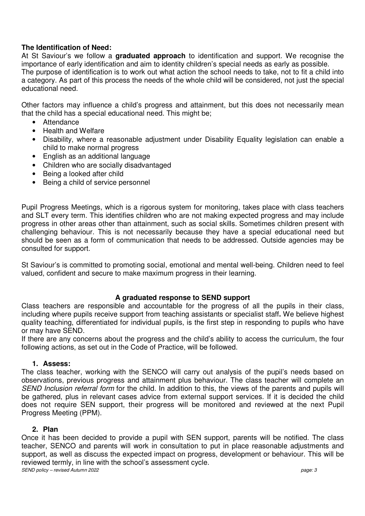#### **The Identification of Need:**

At St Saviour's we follow a **graduated approach** to identification and support. We recognise the importance of early identification and aim to identity children's special needs as early as possible. The purpose of identification is to work out what action the school needs to take, not to fit a child into a category. As part of this process the needs of the whole child will be considered, not just the special educational need.

Other factors may influence a child's progress and attainment, but this does not necessarily mean that the child has a special educational need. This might be;

- **Attendance**
- Health and Welfare
- Disability, where a reasonable adjustment under Disability Equality legislation can enable a child to make normal progress
- English as an additional language
- Children who are socially disadvantaged
- Being a looked after child
- Being a child of service personnel

Pupil Progress Meetings, which is a rigorous system for monitoring, takes place with class teachers and SLT every term. This identifies children who are not making expected progress and may include progress in other areas other than attainment, such as social skills. Sometimes children present with challenging behaviour. This is not necessarily because they have a special educational need but should be seen as a form of communication that needs to be addressed. Outside agencies may be consulted for support.

St Saviour's is committed to promoting social, emotional and mental well-being. Children need to feel valued, confident and secure to make maximum progress in their learning.

#### **A graduated response to SEND support**

Class teachers are responsible and accountable for the progress of all the pupils in their class, including where pupils receive support from teaching assistants or specialist staff**.** We believe highest quality teaching, differentiated for individual pupils, is the first step in responding to pupils who have or may have SEND.

If there are any concerns about the progress and the child's ability to access the curriculum, the four following actions, as set out in the Code of Practice, will be followed.

#### **1. Assess:**

The class teacher, working with the SENCO will carry out analysis of the pupil's needs based on observations, previous progress and attainment plus behaviour. The class teacher will complete an *SEND Inclusion referral form* for the child. In addition to this, the views of the parents and pupils will be gathered, plus in relevant cases advice from external support services. If it is decided the child does not require SEN support, their progress will be monitored and reviewed at the next Pupil Progress Meeting (PPM).

#### **2. Plan**

*SEND policy – revised Autumn 2022 page: 3*  Once it has been decided to provide a pupil with SEN support, parents will be notified. The class teacher, SENCO and parents will work in consultation to put in place reasonable adjustments and support, as well as discuss the expected impact on progress, development or behaviour. This will be reviewed termly, in line with the school's assessment cycle.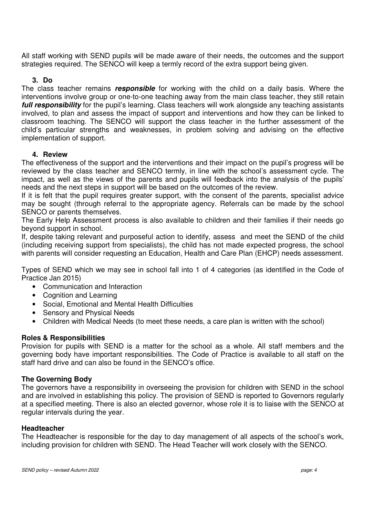All staff working with SEND pupils will be made aware of their needs, the outcomes and the support strategies required. The SENCO will keep a termly record of the extra support being given.

#### **3. Do**

The class teacher remains **responsible** for working with the child on a daily basis. Where the interventions involve group or one-to-one teaching away from the main class teacher, they still retain **full responsibility** for the pupil's learning. Class teachers will work alongside any teaching assistants involved, to plan and assess the impact of support and interventions and how they can be linked to classroom teaching. The SENCO will support the class teacher in the further assessment of the child's particular strengths and weaknesses, in problem solving and advising on the effective implementation of support.

#### **4. Review**

The effectiveness of the support and the interventions and their impact on the pupil's progress will be reviewed by the class teacher and SENCO termly, in line with the school's assessment cycle. The impact, as well as the views of the parents and pupils will feedback into the analysis of the pupils' needs and the next steps in support will be based on the outcomes of the review.

If it is felt that the pupil requires greater support, with the consent of the parents, specialist advice may be sought (through referral to the appropriate agency. Referrals can be made by the school SENCO or parents themselves.

The Early Help Assessment process is also available to children and their families if their needs go beyond support in school.

If, despite taking relevant and purposeful action to identify, assess and meet the SEND of the child (including receiving support from specialists), the child has not made expected progress, the school with parents will consider requesting an Education, Health and Care Plan (EHCP) needs assessment.

Types of SEND which we may see in school fall into 1 of 4 categories (as identified in the Code of Practice Jan 2015)

- Communication and Interaction
- Cognition and Learning
- Social, Emotional and Mental Health Difficulties
- Sensory and Physical Needs
- Children with Medical Needs (to meet these needs, a care plan is written with the school)

#### **Roles & Responsibilities**

Provision for pupils with SEND is a matter for the school as a whole. All staff members and the governing body have important responsibilities. The Code of Practice is available to all staff on the staff hard drive and can also be found in the SENCO's office.

#### **The Governing Body**

The governors have a responsibility in overseeing the provision for children with SEND in the school and are involved in establishing this policy. The provision of SEND is reported to Governors regularly at a specified meeting. There is also an elected governor, whose role it is to liaise with the SENCO at regular intervals during the year.

#### **Headteacher**

The Headteacher is responsible for the day to day management of all aspects of the school's work, including provision for children with SEND. The Head Teacher will work closely with the SENCO.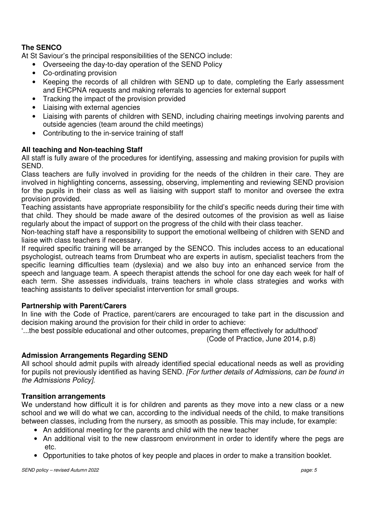#### **The SENCO**

At St Saviour's the principal responsibilities of the SENCO include:

- Overseeing the day-to-day operation of the SEND Policy
- Co-ordinating provision
- Keeping the records of all children with SEND up to date, completing the Early assessment and EHCPNA requests and making referrals to agencies for external support
- Tracking the impact of the provision provided
- Liaising with external agencies
- Liaising with parents of children with SEND, including chairing meetings involving parents and outside agencies (team around the child meetings)
- Contributing to the in-service training of staff

#### **All teaching and Non-teaching Staff**

All staff is fully aware of the procedures for identifying, assessing and making provision for pupils with SEND.

Class teachers are fully involved in providing for the needs of the children in their care. They are involved in highlighting concerns, assessing, observing, implementing and reviewing SEND provision for the pupils in their class as well as liaising with support staff to monitor and oversee the extra provision provided.

Teaching assistants have appropriate responsibility for the child's specific needs during their time with that child. They should be made aware of the desired outcomes of the provision as well as liaise regularly about the impact of support on the progress of the child with their class teacher.

Non-teaching staff have a responsibility to support the emotional wellbeing of children with SEND and liaise with class teachers if necessary.

If required specific training will be arranged by the SENCO. This includes access to an educational psychologist, outreach teams from Drumbeat who are experts in autism, specialist teachers from the specific learning difficulties team (dyslexia) and we also buy into an enhanced service from the speech and language team. A speech therapist attends the school for one day each week for half of each term. She assesses individuals, trains teachers in whole class strategies and works with teaching assistants to deliver specialist intervention for small groups.

#### **Partnership with Parent/Carers**

In line with the Code of Practice, parent/carers are encouraged to take part in the discussion and decision making around the provision for their child in order to achieve:

'...the best possible educational and other outcomes, preparing them effectively for adulthood' (Code of Practice, June 2014, p.8)

#### **Admission Arrangements Regarding SEND**

All school should admit pupils with already identified special educational needs as well as providing for pupils not previously identified as having SEND*. [For further details of Admissions, can be found in the Admissions Policy].*

#### **Transition arrangements**

We understand how difficult it is for children and parents as they move into a new class or a new school and we will do what we can, according to the individual needs of the child, to make transitions between classes, including from the nursery, as smooth as possible. This may include, for example:

- An additional meeting for the parents and child with the new teacher
- An additional visit to the new classroom environment in order to identify where the pegs are etc.
- Opportunities to take photos of key people and places in order to make a transition booklet.